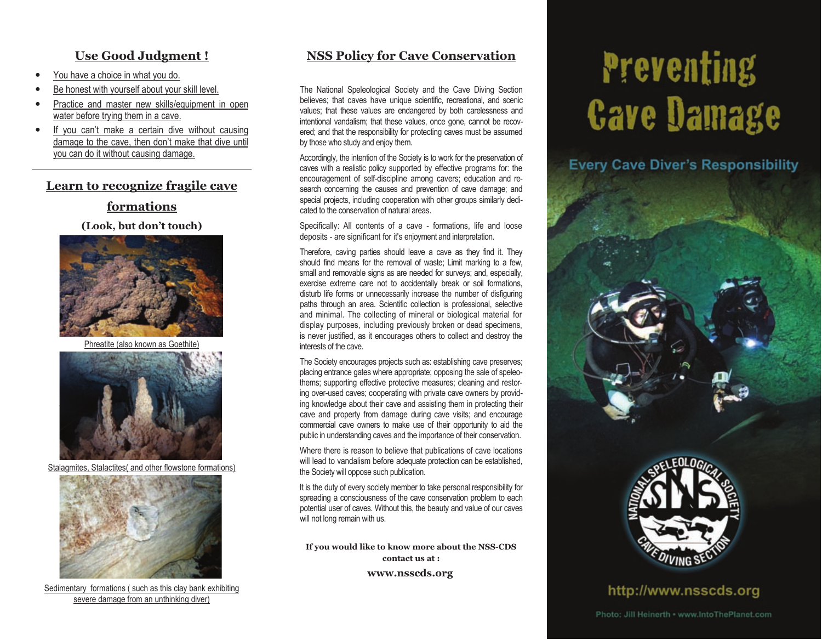## **Use Good Judgment !**

- **•**• You have a choice in what you do.
- **•Be honest with yourself about your skill level.**
- **•**• Practice and master new skills/equipment in open water before trying them in a cave.
- **•** If you can't make a certain dive without causing damage to the cave, then don't make that dive until you can do it without causing damage.

## **Learn to recognize fragile cave**

## **formations**

**(Look, but don't touch)** 



Phreatite (also known as Goethite)



Stalagmites, Stalactites( and other flowstone formations)



Sedimentary formations ( such as this clay bank exhibiting severe damage from an unthinking diver)

## **NSS Policy for Cave Conservation**

The National Speleological Society and the Cave Diving Section believes; that caves have unique scientific, recreational, and scenic values; that these values are endangered by both carelessness and intentional vandalism; that these values, once gone, cannot be recovered; and that the responsibility for protecting caves must be assumed by those who study and enjoy them.

Accordingly, the intention of the Society is to work for the preservation of caves with a realistic policy supported by effective programs for: the encouragement of self-discipline among cavers; education and research concerning the causes and prevention of cave damage; and special projects, including cooperation with other groups similarly dedicated to the conservation of natural areas.

Specifically: All contents of a cave - formations, life and loose deposits - are significant for it's enjoyment and interpretation.

Therefore, caving parties should leave a cave as they find it. They should find means for the removal of waste; Limit marking to a few, small and removable signs as are needed for surveys; and, especially, exercise extreme care not to accidentally break or soil formations, disturb life forms or unnecessarily increase the number of disfiguring paths through an area. Scientific collection is professional, selective and minimal. The collecting of mineral or biological material for display purposes, including previously broken or dead specimens, is never justified, as it encourages others to collect and destroy the interests of the cave.

The Society encourages projects such as: establishing cave preserves; placing entrance gates where appropriate; opposing the sale of speleothems; supporting effective protective measures; cleaning and restoring over-used caves; cooperating with private cave owners by providing knowledge about their cave and assisting them in protecting their cave and property from damage during cave visits; and encourage commercial cave owners to make use of their opportunity to aid the public in understanding caves and the importance of their conservation.

Where there is reason to believe that publications of cave locations will lead to vandalism before adequate protection can be established, the Society will oppose such publication.

It is the duty of every society member to take personal responsibility for spreading a consciousness of the cave conservation problem to each potential user of caves. Without this, the beauty and value of our caves will not long remain with us.

**If you would like to know more about the NSS-CDS contact us at : www.nsscds.org**

# Preventing **Cave Damage**

**Every Cave Diver's Responsibility** 





## http://www.nsscds.org